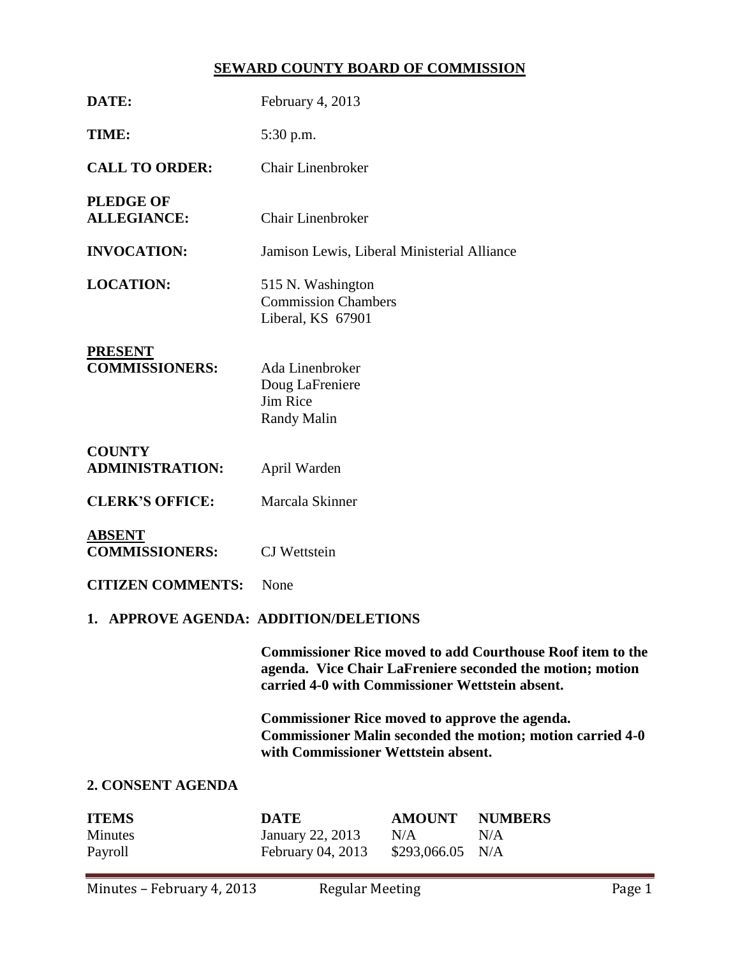# **SEWARD COUNTY BOARD OF COMMISSION**

| DATE:                                     | February 4, 2013                                                                                                                                                                  |                                      |                              |  |  |
|-------------------------------------------|-----------------------------------------------------------------------------------------------------------------------------------------------------------------------------------|--------------------------------------|------------------------------|--|--|
| TIME:                                     | 5:30 p.m.                                                                                                                                                                         |                                      |                              |  |  |
| <b>CALL TO ORDER:</b>                     | <b>Chair Linenbroker</b>                                                                                                                                                          |                                      |                              |  |  |
| <b>PLEDGE OF</b><br><b>ALLEGIANCE:</b>    | <b>Chair Linenbroker</b>                                                                                                                                                          |                                      |                              |  |  |
| <b>INVOCATION:</b>                        | Jamison Lewis, Liberal Ministerial Alliance                                                                                                                                       |                                      |                              |  |  |
| <b>LOCATION:</b>                          | 515 N. Washington<br><b>Commission Chambers</b><br>Liberal, KS 67901                                                                                                              |                                      |                              |  |  |
| <b>PRESENT</b><br><b>COMMISSIONERS:</b>   | Ada Linenbroker<br>Doug LaFreniere<br><b>Jim Rice</b><br><b>Randy Malin</b>                                                                                                       |                                      |                              |  |  |
| <b>COUNTY</b><br><b>ADMINISTRATION:</b>   | April Warden                                                                                                                                                                      |                                      |                              |  |  |
| <b>CLERK'S OFFICE:</b>                    | Marcala Skinner                                                                                                                                                                   |                                      |                              |  |  |
| <b>ABSENT</b><br><b>COMMISSIONERS:</b>    | <b>CJ</b> Wettstein                                                                                                                                                               |                                      |                              |  |  |
| <b>CITIZEN COMMENTS:</b>                  | None                                                                                                                                                                              |                                      |                              |  |  |
| 1. APPROVE AGENDA: ADDITION/DELETIONS     |                                                                                                                                                                                   |                                      |                              |  |  |
|                                           | <b>Commissioner Rice moved to add Courthouse Roof item to the</b><br>agenda. Vice Chair LaFreniere seconded the motion; motion<br>carried 4-0 with Commissioner Wettstein absent. |                                      |                              |  |  |
|                                           | <b>Commissioner Rice moved to approve the agenda.</b><br><b>Commissioner Malin seconded the motion; motion carried 4-0</b><br>with Commissioner Wettstein absent.                 |                                      |                              |  |  |
| 2. CONSENT AGENDA                         |                                                                                                                                                                                   |                                      |                              |  |  |
| <b>ITEMS</b><br><b>Minutes</b><br>Payroll | <b>DATE</b><br><b>January 22, 2013</b><br>February 04, 2013                                                                                                                       | <b>AMOUNT</b><br>N/A<br>\$293,066.05 | <b>NUMBERS</b><br>N/A<br>N/A |  |  |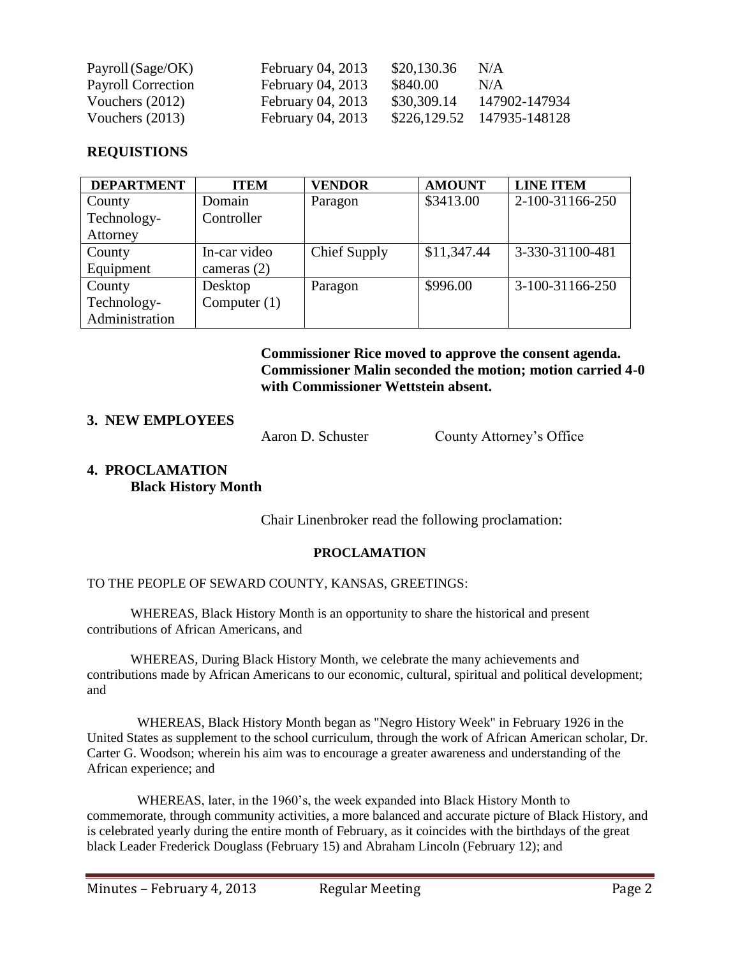| Payroll (Sage/OK)         | February 04, 2013 | \$20,130.36 | N/A                        |
|---------------------------|-------------------|-------------|----------------------------|
| <b>Payroll Correction</b> | February 04, 2013 | \$840.00    | N/A                        |
| Vouchers $(2012)$         | February 04, 2013 | \$30,309.14 | 147902-147934              |
| Vouchers $(2013)$         | February 04, 2013 |             | \$226,129.52 147935-148128 |

#### **REQUISTIONS**

| <b>DEPARTMENT</b> | <b>ITEM</b>    | <b>VENDOR</b> | <b>AMOUNT</b> | <b>LINE ITEM</b> |
|-------------------|----------------|---------------|---------------|------------------|
| County            | Domain         | Paragon       | \$3413.00     | 2-100-31166-250  |
| Technology-       | Controller     |               |               |                  |
| Attorney          |                |               |               |                  |
| County            | In-car video   | Chief Supply  | \$11,347.44   | 3-330-31100-481  |
| Equipment         | cameras $(2)$  |               |               |                  |
| County            | Desktop        | Paragon       | \$996.00      | 3-100-31166-250  |
| Technology-       | Computer $(1)$ |               |               |                  |
| Administration    |                |               |               |                  |

**Commissioner Rice moved to approve the consent agenda. Commissioner Malin seconded the motion; motion carried 4-0 with Commissioner Wettstein absent.**

# **3. NEW EMPLOYEES**

Aaron D. Schuster County Attorney's Office

# **4. PROCLAMATION Black History Month**

Chair Linenbroker read the following proclamation:

#### **PROCLAMATION**

TO THE PEOPLE OF SEWARD COUNTY, KANSAS, GREETINGS:

WHEREAS, Black History Month is an opportunity to share the historical and present contributions of African Americans, and

WHEREAS, During Black History Month, we celebrate the many achievements and contributions made by African Americans to our economic, cultural, spiritual and political development; and

WHEREAS, Black History Month began as "Negro History Week" in February 1926 in the United States as supplement to the school curriculum, through the work of African American scholar, Dr. Carter G. Woodson; wherein his aim was to encourage a greater awareness and understanding of the African experience; and

WHEREAS, later, in the 1960's, the week expanded into Black History Month to commemorate, through community activities, a more balanced and accurate picture of Black History, and is celebrated yearly during the entire month of February, as it coincides with the birthdays of the great black Leader Frederick Douglass (February 15) and Abraham Lincoln (February 12); and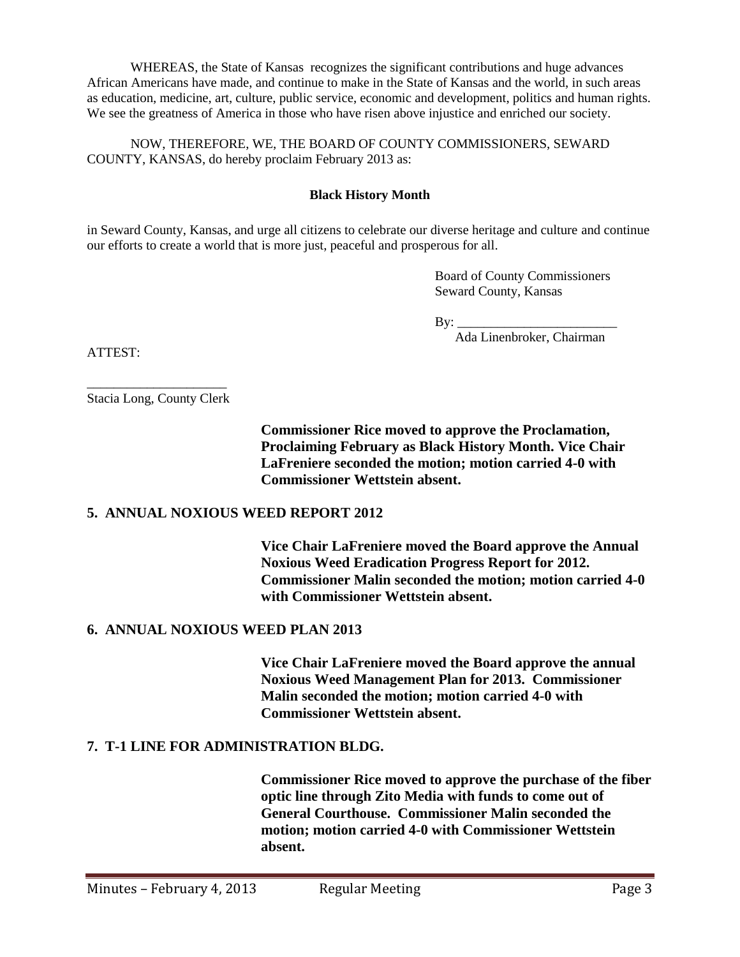WHEREAS, the State of Kansas recognizes the significant contributions and huge advances African Americans have made, and continue to make in the State of Kansas and the world, in such areas as education, medicine, art, culture, public service, economic and development, politics and human rights. We see the greatness of America in those who have risen above injustice and enriched our society.

NOW, THEREFORE, WE, THE BOARD OF COUNTY COMMISSIONERS, SEWARD COUNTY, KANSAS, do hereby proclaim February 2013 as:

#### **Black History Month**

in Seward County, Kansas, and urge all citizens to celebrate our diverse heritage and culture and continue our efforts to create a world that is more just, peaceful and prosperous for all.

> Board of County Commissioners Seward County, Kansas

 $\mathbf{By:}$ 

Ada Linenbroker, Chairman

ATTEST:

\_\_\_\_\_\_\_\_\_\_\_\_\_\_\_\_\_\_\_\_\_ Stacia Long, County Clerk

> **Commissioner Rice moved to approve the Proclamation, Proclaiming February as Black History Month. Vice Chair LaFreniere seconded the motion; motion carried 4-0 with Commissioner Wettstein absent.**

#### **5. ANNUAL NOXIOUS WEED REPORT 2012**

**Vice Chair LaFreniere moved the Board approve the Annual Noxious Weed Eradication Progress Report for 2012. Commissioner Malin seconded the motion; motion carried 4-0 with Commissioner Wettstein absent.**

#### **6. ANNUAL NOXIOUS WEED PLAN 2013**

**Vice Chair LaFreniere moved the Board approve the annual Noxious Weed Management Plan for 2013. Commissioner Malin seconded the motion; motion carried 4-0 with Commissioner Wettstein absent.**

# **7. T-1 LINE FOR ADMINISTRATION BLDG.**

**Commissioner Rice moved to approve the purchase of the fiber optic line through Zito Media with funds to come out of General Courthouse. Commissioner Malin seconded the motion; motion carried 4-0 with Commissioner Wettstein absent.**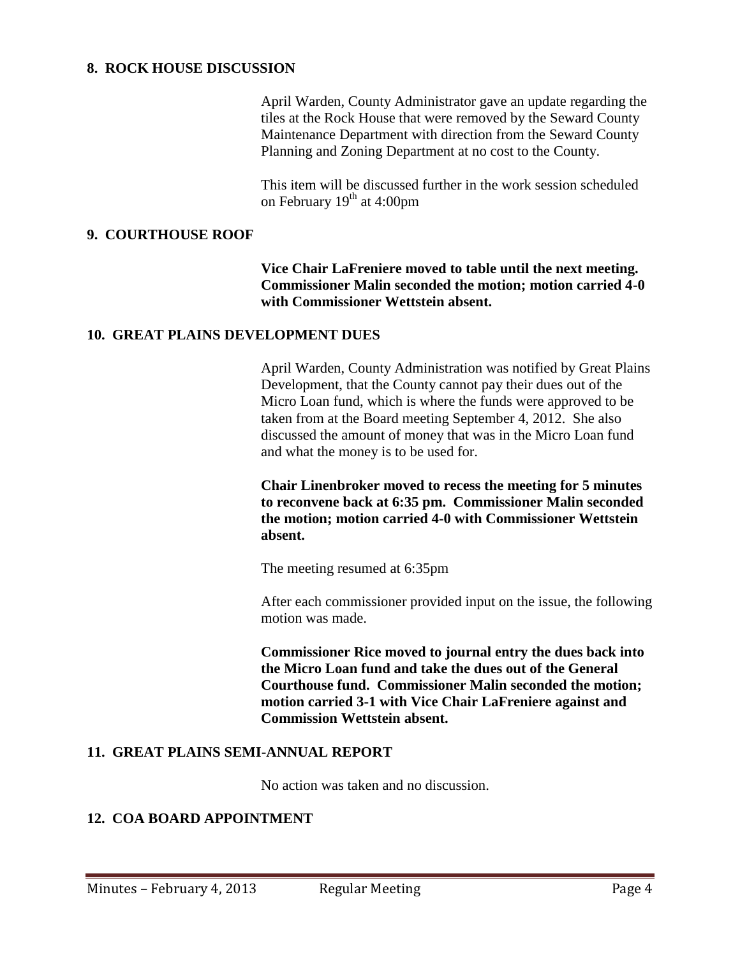#### **8. ROCK HOUSE DISCUSSION**

April Warden, County Administrator gave an update regarding the tiles at the Rock House that were removed by the Seward County Maintenance Department with direction from the Seward County Planning and Zoning Department at no cost to the County.

This item will be discussed further in the work session scheduled on February  $19<sup>th</sup>$  at 4:00pm

#### **9. COURTHOUSE ROOF**

**Vice Chair LaFreniere moved to table until the next meeting. Commissioner Malin seconded the motion; motion carried 4-0 with Commissioner Wettstein absent.** 

### **10. GREAT PLAINS DEVELOPMENT DUES**

April Warden, County Administration was notified by Great Plains Development, that the County cannot pay their dues out of the Micro Loan fund, which is where the funds were approved to be taken from at the Board meeting September 4, 2012. She also discussed the amount of money that was in the Micro Loan fund and what the money is to be used for.

**Chair Linenbroker moved to recess the meeting for 5 minutes to reconvene back at 6:35 pm. Commissioner Malin seconded the motion; motion carried 4-0 with Commissioner Wettstein absent.**

The meeting resumed at 6:35pm

After each commissioner provided input on the issue, the following motion was made.

**Commissioner Rice moved to journal entry the dues back into the Micro Loan fund and take the dues out of the General Courthouse fund. Commissioner Malin seconded the motion; motion carried 3-1 with Vice Chair LaFreniere against and Commission Wettstein absent.**

# **11. GREAT PLAINS SEMI-ANNUAL REPORT**

No action was taken and no discussion.

# **12. COA BOARD APPOINTMENT**